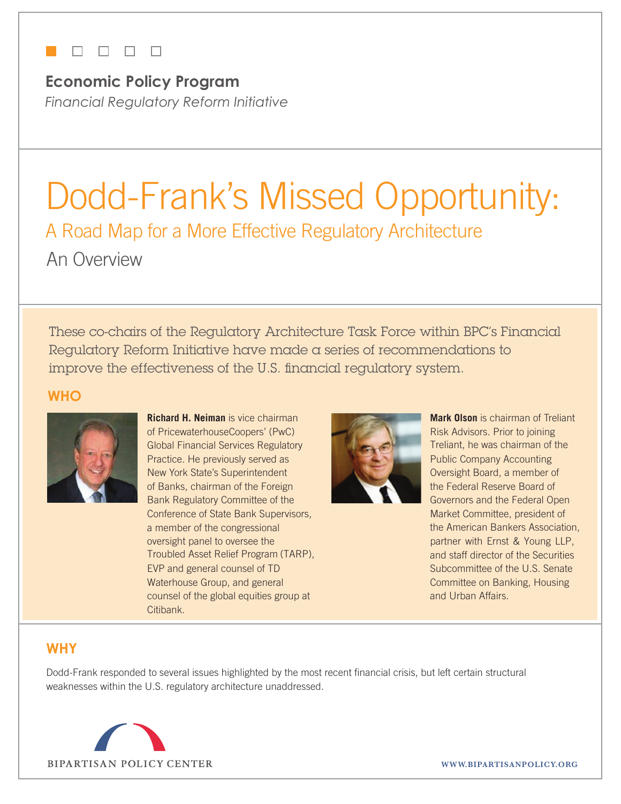## **TERRITORIA**

**Economic Policy Program** *Financial Regulatory Reform Initiative*

# Dodd-Frank's Missed Opportunity: A Road Map for a More Effective Regulatory Architecture An Overview

These co-chairs of the Regulatory Architecture Task Force within BPC's Financial Regulatory Reform Initiative have made a series of recommendations to improve the effectiveness of the U.S. financial regulatory system.

### **Who**



**Richard H. Neiman** is vice chairman of PricewaterhouseCoopers' (PwC) Global Financial Services Regulatory Practice. He previously served as New York State's Superintendent of Banks, chairman of the Foreign Bank Regulatory Committee of the Conference of State Bank Supervisors, a member of the congressional oversight panel to oversee the Troubled Asset Relief Program (TARP), EVP and general counsel of TD Waterhouse Group, and general counsel of the global equities group at Citibank.



**Mark Olson** is chairman of Treliant Risk Advisors. Prior to joining Treliant, he was chairman of the Public Company Accounting Oversight Board, a member of the Federal Reserve Board of Governors and the Federal Open Market Committee, president of the American Bankers Association, partner with Ernst & Young LLP, and staff director of the Securities Subcommittee of the U.S. Senate Committee on Banking, Housing and Urban Affairs.

## **Why**

Dodd-Frank responded to several issues highlighted by the most recent financial crisis, but left certain structural weaknesses within the U.S. regulatory architecture unaddressed.